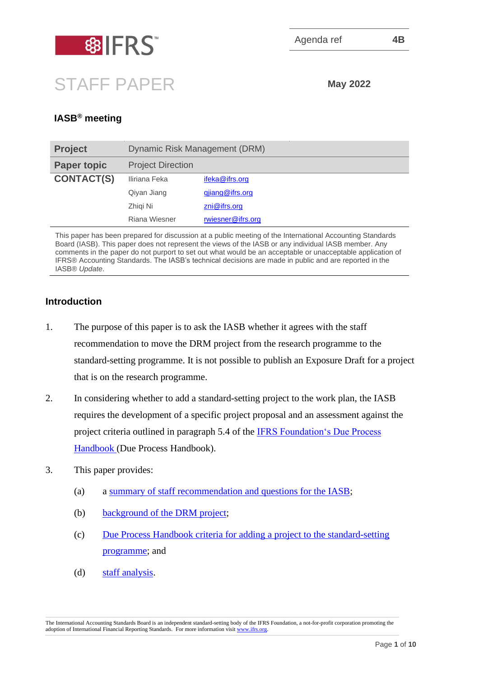

# STAFF PAPER **May <sup>2022</sup>**

# **IASB® meeting**

| <b>Project</b>     | Dynamic Risk Management (DRM) |                         |
|--------------------|-------------------------------|-------------------------|
| <b>Paper topic</b> | <b>Project Direction</b>      |                         |
| <b>CONTACT(S)</b>  | Iliriana Feka                 | ifeka@ifrs.org          |
|                    | Qiyan Jiang                   | gjiang@ifrs.org         |
|                    | Zhigi Ni                      | $\mathsf{zni@ifrs.org}$ |
|                    | Riana Wiesner                 | rwiesner@ifrs.org       |

This paper has been prepared for discussion at a public meeting of the International Accounting Standards Board (IASB). This paper does not represent the views of the IASB or any individual IASB member. Any comments in the paper do not purport to set out what would be an acceptable or unacceptable application of IFRS® Accounting Standards. The IASB's technical decisions are made in public and are reported in the IASB® *Update*.

### **Introduction**

- 1. The purpose of this paper is to ask the IASB whether it agrees with the staff recommendation to move the DRM project from the research programme to the standard-setting programme. It is not possible to publish an Exposure Draft for a project that is on the research programme.
- 2. In considering whether to add a standard-setting project to the work plan, the IASB requires the development of a specific project proposal and an assessment against the project criteria outlined in paragraph 5.4 of the [IFRS Foundation's Due Process](https://www.ifrs.org/content/dam/ifrs/publications/pdf-standards/english/2021/issued/part-c/due-process-handbook.pdf)  [Handbook](https://www.ifrs.org/content/dam/ifrs/publications/pdf-standards/english/2021/issued/part-c/due-process-handbook.pdf) (Due Process Handbook).
- 3. This paper provides:
	- (a) a [summary of staff recommendation](#page-1-0) and questions for the IASB;
	- (b) [background of the DRM project;](#page-1-1)
	- (c) [Due Process Handbook criteria for adding a project to the standard-setting](#page-3-0)  [programme;](#page-3-0) and
	- (d) [staff analysis.](#page-4-0)

The International Accounting Standards Board is an independent standard-setting body of the IFRS Foundation, a not-for-profit corporation promoting the adoption of International Financial Reporting Standards. For more information visi[t www.ifrs.org.](http://www.ifrs.org/)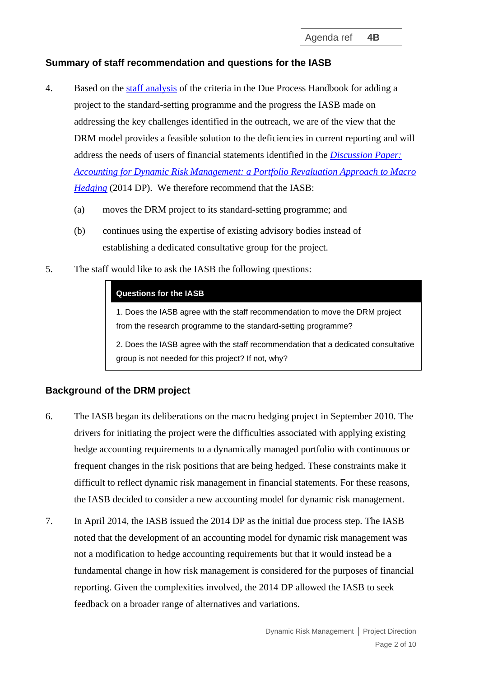## <span id="page-1-0"></span>**Summary of staff recommendation and questions for the IASB**

- 4. Based on the [staff analysis](#page-4-0) of the criteria in the Due Process Handbook for adding a project to the standard-setting programme and the progress the IASB made on addressing the key challenges identified in the outreach, we are of the view that the DRM model provides a feasible solution to the deficiencies in current reporting and will address the needs of users of financial statements identified in the *[Discussion Paper:](https://www.ifrs.org/content/dam/ifrs/project/dynamic-risk-management/discussion-paper/published-documents/dp-accounting-for-dynamic-risk-management.pdf)  [Accounting for Dynamic Risk Management: a Portfolio Revaluation Approach to Macro](https://www.ifrs.org/content/dam/ifrs/project/dynamic-risk-management/discussion-paper/published-documents/dp-accounting-for-dynamic-risk-management.pdf)  [Hedging](https://www.ifrs.org/content/dam/ifrs/project/dynamic-risk-management/discussion-paper/published-documents/dp-accounting-for-dynamic-risk-management.pdf)* (2014 DP). We therefore recommend that the IASB:
	- (a) moves the DRM project to its standard-setting programme; and
	- (b) continues using the expertise of existing advisory bodies instead of establishing a dedicated consultative group for the project.
- 5. The staff would like to ask the IASB the following questions:

#### **Questions for the IASB**

1. Does the IASB agree with the staff recommendation to move the DRM project from the research programme to the standard-setting programme?

2. Does the IASB agree with the staff recommendation that a dedicated consultative group is not needed for this project? If not, why?

#### <span id="page-1-1"></span>**Background of the DRM project**

- 6. The IASB began its deliberations on the macro hedging project in September 2010. The drivers for initiating the project were the difficulties associated with applying existing hedge accounting requirements to a dynamically managed portfolio with continuous or frequent changes in the risk positions that are being hedged. These constraints make it difficult to reflect dynamic risk management in financial statements. For these reasons, the IASB decided to consider a new accounting model for dynamic risk management.
- <span id="page-1-2"></span>7. In April 2014, the IASB issued the 2014 DP as the initial due process step. The IASB noted that the development of an accounting model for dynamic risk management was not a modification to hedge accounting requirements but that it would instead be a fundamental change in how risk management is considered for the purposes of financial reporting. Given the complexities involved, the 2014 DP allowed the IASB to seek feedback on a broader range of alternatives and variations.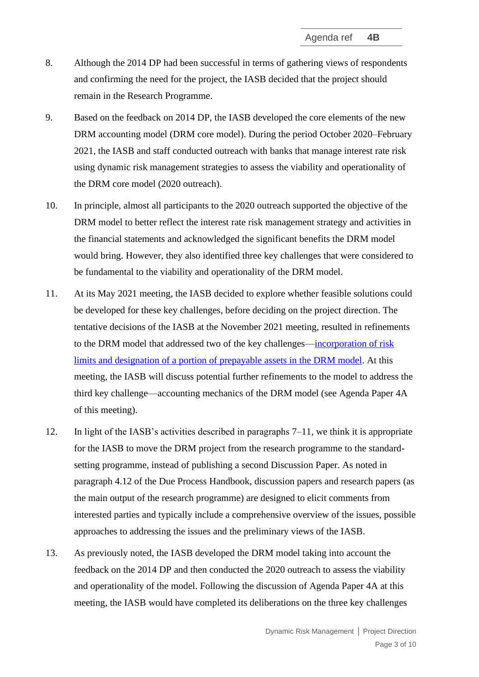- 8. Although the 2014 DP had been successful in terms of gathering views of respondents and confirming the need for the project, the IASB decided that the project should remain in the Research Programme.
- 9. Based on the feedback on 2014 DP, the IASB developed the core elements of the new DRM accounting model (DRM core model). During the period October 2020–February 2021, the IASB and staff conducted outreach with banks that manage interest rate risk using dynamic risk management strategies to assess the viability and operationality of the DRM core model (2020 outreach).
- 10. In principle, almost all participants to the 2020 outreach supported the objective of the DRM model to better reflect the interest rate risk management strategy and activities in the financial statements and acknowledged the significant benefits the DRM model would bring. However, they also identified three key challenges that were considered to be fundamental to the viability and operationality of the DRM model.
- <span id="page-2-0"></span>11. At its May 2021 meeting, the IASB decided to explore whether feasible solutions could be developed for these key challenges, before deciding on the project direction. The tentative decisions of the IASB at the November 2021 meeting, resulted in refinements to the DRM model that addressed two of the key challenges[—incorporation of risk](https://www.ifrs.org/news-and-events/updates/iasb/2021/iasb-update-november-2021/#2)  [limits and designation of a portion of prepayable assets in the DRM model.](https://www.ifrs.org/news-and-events/updates/iasb/2021/iasb-update-november-2021/#2) At this meeting, the IASB will discuss potential further refinements to the model to address the third key challenge—accounting mechanics of the DRM model (see Agenda Paper 4A of this meeting).
- 12. In light of the IASB's activities described in paragraphs [7](#page-1-2)[–11,](#page-2-0) we think it is appropriate for the IASB to move the DRM project from the research programme to the standardsetting programme, instead of publishing a second Discussion Paper. As noted in paragraph 4.12 of the Due Process Handbook, discussion papers and research papers (as the main output of the research programme) are designed to elicit comments from interested parties and typically include a comprehensive overview of the issues, possible approaches to addressing the issues and the preliminary views of the IASB.
- 13. As previously noted, the IASB developed the DRM model taking into account the feedback on the 2014 DP and then conducted the 2020 outreach to assess the viability and operationality of the model. Following the discussion of Agenda Paper 4A at this meeting, the IASB would have completed its deliberations on the three key challenges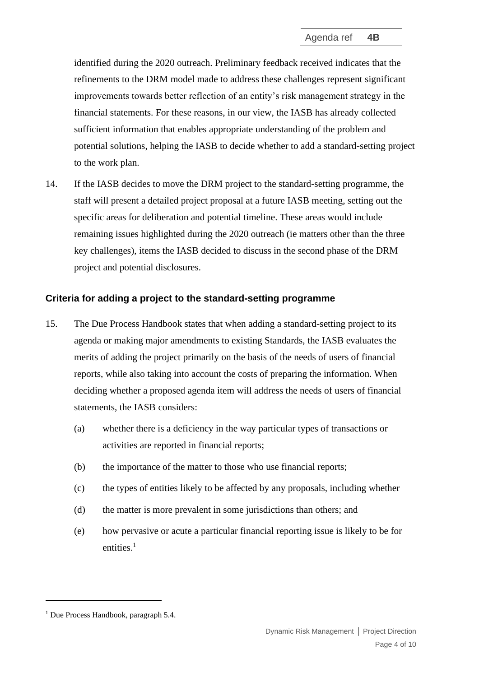identified during the 2020 outreach. Preliminary feedback received indicates that the refinements to the DRM model made to address these challenges represent significant improvements towards better reflection of an entity's risk management strategy in the financial statements. For these reasons, in our view, the IASB has already collected sufficient information that enables appropriate understanding of the problem and potential solutions, helping the IASB to decide whether to add a standard-setting project to the work plan.

14. If the IASB decides to move the DRM project to the standard-setting programme, the staff will present a detailed project proposal at a future IASB meeting, setting out the specific areas for deliberation and potential timeline. These areas would include remaining issues highlighted during the 2020 outreach (ie matters other than the three key challenges), items the IASB decided to discuss in the second phase of the DRM project and potential disclosures.

# <span id="page-3-0"></span>**Criteria for adding a project to the standard-setting programme**

- 15. The Due Process Handbook states that when adding a standard-setting project to its agenda or making major amendments to existing Standards, the IASB evaluates the merits of adding the project primarily on the basis of the needs of users of financial reports, while also taking into account the costs of preparing the information. When deciding whether a proposed agenda item will address the needs of users of financial statements, the IASB considers:
	- (a) whether there is a deficiency in the way particular types of transactions or activities are reported in financial reports;
	- (b) the importance of the matter to those who use financial reports;
	- (c) the types of entities likely to be affected by any proposals, including whether
	- (d) the matter is more prevalent in some jurisdictions than others; and
	- (e) how pervasive or acute a particular financial reporting issue is likely to be for entities.<sup>1</sup>

<sup>1</sup> Due Process Handbook, paragraph 5.4.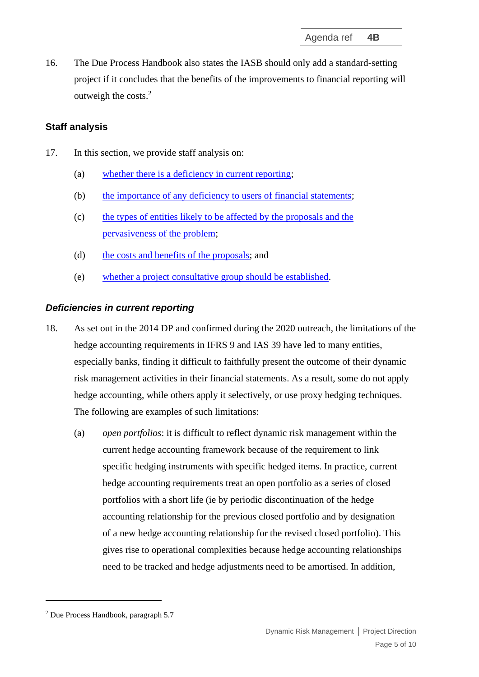16. The Due Process Handbook also states the IASB should only add a standard-setting project if it concludes that the benefits of the improvements to financial reporting will outweigh the costs. 2

## <span id="page-4-0"></span>**Staff analysis**

- 17. In this section, we provide staff analysis on:
	- (a) [whether there is a deficiency in current reporting;](#page-4-1)
	- (b) [the importance of any deficiency to users of financial statements;](#page-6-0)
	- (c) [the types of entities likely to be affected by the proposals and the](#page-7-0)  [pervasiveness of the problem;](#page-7-0)
	- (d) [the costs and benefits of the proposals;](#page-8-0) and
	- (e) [whether a project consultative group should be established.](#page-8-1)

### <span id="page-4-1"></span>*Deficiencies in current reporting*

- <span id="page-4-2"></span>18. As set out in the 2014 DP and confirmed during the 2020 outreach, the limitations of the hedge accounting requirements in IFRS 9 and IAS 39 have led to many entities, especially banks, finding it difficult to faithfully present the outcome of their dynamic risk management activities in their financial statements. As a result, some do not apply hedge accounting, while others apply it selectively, or use proxy hedging techniques. The following are examples of such limitations:
	- (a) *open portfolios*: it is difficult to reflect dynamic risk management within the current hedge accounting framework because of the requirement to link specific hedging instruments with specific hedged items. In practice, current hedge accounting requirements treat an open portfolio as a series of closed portfolios with a short life (ie by periodic discontinuation of the hedge accounting relationship for the previous closed portfolio and by designation of a new hedge accounting relationship for the revised closed portfolio). This gives rise to operational complexities because hedge accounting relationships need to be tracked and hedge adjustments need to be amortised. In addition,

<sup>2</sup> Due Process Handbook, paragraph 5.7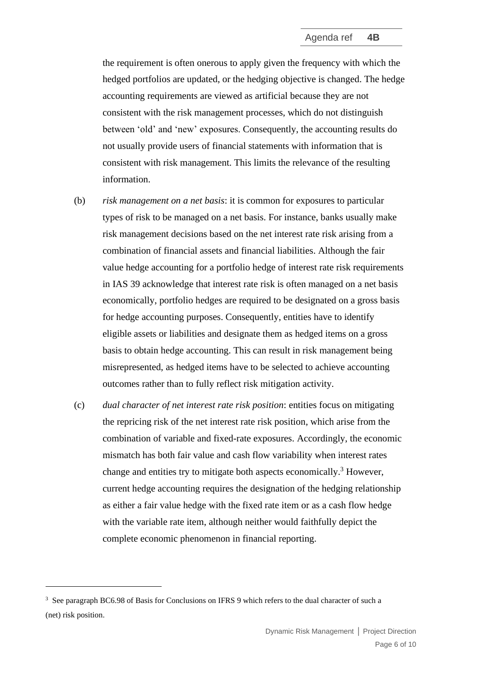the requirement is often onerous to apply given the frequency with which the hedged portfolios are updated, or the hedging objective is changed. The hedge accounting requirements are viewed as artificial because they are not consistent with the risk management processes, which do not distinguish between 'old' and 'new' exposures. Consequently, the accounting results do not usually provide users of financial statements with information that is consistent with risk management. This limits the relevance of the resulting information.

- (b) *risk management on a net basis*: it is common for exposures to particular types of risk to be managed on a net basis. For instance, banks usually make risk management decisions based on the net interest rate risk arising from a combination of financial assets and financial liabilities. Although the fair value hedge accounting for a portfolio hedge of interest rate risk requirements in IAS 39 acknowledge that interest rate risk is often managed on a net basis economically, portfolio hedges are required to be designated on a gross basis for hedge accounting purposes. Consequently, entities have to identify eligible assets or liabilities and designate them as hedged items on a gross basis to obtain hedge accounting. This can result in risk management being misrepresented, as hedged items have to be selected to achieve accounting outcomes rather than to fully reflect risk mitigation activity.
- (c) *dual character of net interest rate risk position*: entities focus on mitigating the repricing risk of the net interest rate risk position, which arise from the combination of variable and fixed-rate exposures. Accordingly, the economic mismatch has both fair value and cash flow variability when interest rates change and entities try to mitigate both aspects economically. <sup>3</sup> However, current hedge accounting requires the designation of the hedging relationship as either a fair value hedge with the fixed rate item or as a cash flow hedge with the variable rate item, although neither would faithfully depict the complete economic phenomenon in financial reporting.

<sup>&</sup>lt;sup>3</sup> See paragraph BC6.98 of Basis for Conclusions on IFRS 9 which refers to the dual character of such a (net) risk position.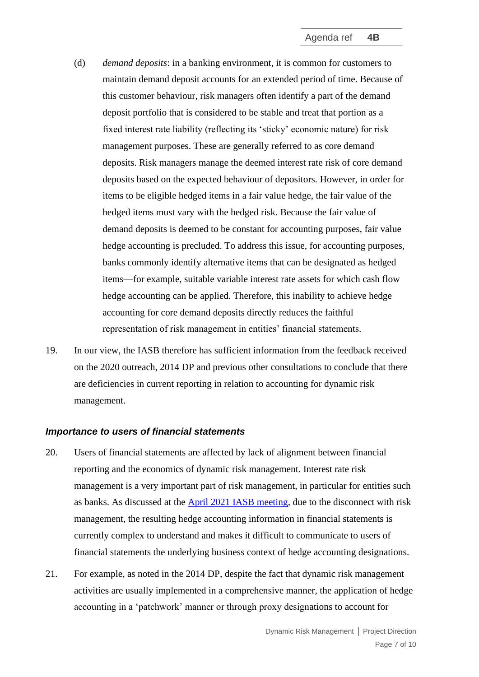- <span id="page-6-1"></span>(d) *demand deposits*: in a banking environment, it is common for customers to maintain demand deposit accounts for an extended period of time. Because of this customer behaviour, risk managers often identify a part of the demand deposit portfolio that is considered to be stable and treat that portion as a fixed interest rate liability (reflecting its 'sticky' economic nature) for risk management purposes. These are generally referred to as core demand deposits. Risk managers manage the deemed interest rate risk of core demand deposits based on the expected behaviour of depositors. However, in order for items to be eligible hedged items in a fair value hedge, the fair value of the hedged items must vary with the hedged risk. Because the fair value of demand deposits is deemed to be constant for accounting purposes, fair value hedge accounting is precluded. To address this issue, for accounting purposes, banks commonly identify alternative items that can be designated as hedged items—for example, suitable variable interest rate assets for which cash flow hedge accounting can be applied. Therefore, this inability to achieve hedge accounting for core demand deposits directly reduces the faithful representation of risk management in entities' financial statements.
- 19. In our view, the IASB therefore has sufficient information from the feedback received on the 2020 outreach, 2014 DP and previous other consultations to conclude that there are deficiencies in current reporting in relation to accounting for dynamic risk management.

#### <span id="page-6-0"></span>*Importance to users of financial statements*

- 20. Users of financial statements are affected by lack of alignment between financial reporting and the economics of dynamic risk management. Interest rate risk management is a very important part of risk management, in particular for entities such as banks. As discussed at the [April 2021 IASB meeting,](https://www.ifrs.org/content/dam/ifrs/meetings/2021/april/iasb/ap4a-dynamic-risk-management-executive-summary-of-feedback-from-outreach.pdf) due to the disconnect with risk management, the resulting hedge accounting information in financial statements is currently complex to understand and makes it difficult to communicate to users of financial statements the underlying business context of hedge accounting designations.
- 21. For example, as noted in the 2014 DP, despite the fact that dynamic risk management activities are usually implemented in a comprehensive manner, the application of hedge accounting in a 'patchwork' manner or through proxy designations to account for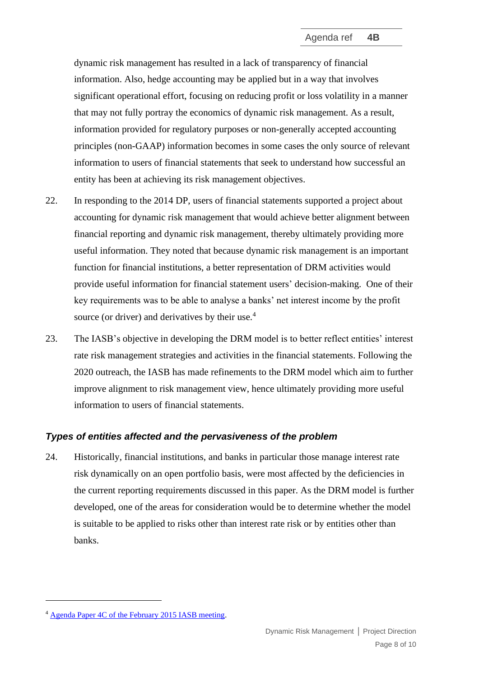dynamic risk management has resulted in a lack of transparency of financial information. Also, hedge accounting may be applied but in a way that involves significant operational effort, focusing on reducing profit or loss volatility in a manner that may not fully portray the economics of dynamic risk management. As a result, information provided for regulatory purposes or non-generally accepted accounting principles (non-GAAP) information becomes in some cases the only source of relevant information to users of financial statements that seek to understand how successful an entity has been at achieving its risk management objectives.

- 22. In responding to the 2014 DP, users of financial statements supported a project about accounting for dynamic risk management that would achieve better alignment between financial reporting and dynamic risk management, thereby ultimately providing more useful information. They noted that because dynamic risk management is an important function for financial institutions, a better representation of DRM activities would provide useful information for financial statement users' decision-making. One of their key requirements was to be able to analyse a banks' net interest income by the profit source (or driver) and derivatives by their use.<sup>4</sup>
- 23. The IASB's objective in developing the DRM model is to better reflect entities' interest rate risk management strategies and activities in the financial statements. Following the 2020 outreach, the IASB has made refinements to the DRM model which aim to further improve alignment to risk management view, hence ultimately providing more useful information to users of financial statements.

# <span id="page-7-0"></span>*Types of entities affected and the pervasiveness of the problem*

24. Historically, financial institutions, and banks in particular those manage interest rate risk dynamically on an open portfolio basis, were most affected by the deficiencies in the current reporting requirements discussed in this paper. As the DRM model is further developed, one of the areas for consideration would be to determine whether the model is suitable to be applied to risks other than interest rate risk or by entities other than banks.

<sup>4</sup> [Agenda Paper 4C of the February 2015 IASB meeting.](https://www.ifrs.org/content/dam/ifrs/meetings/2015/february/iasb/accounting-for-dynamic-risk-management/ap4c-feedback-summary-users-financial-statements.pdf)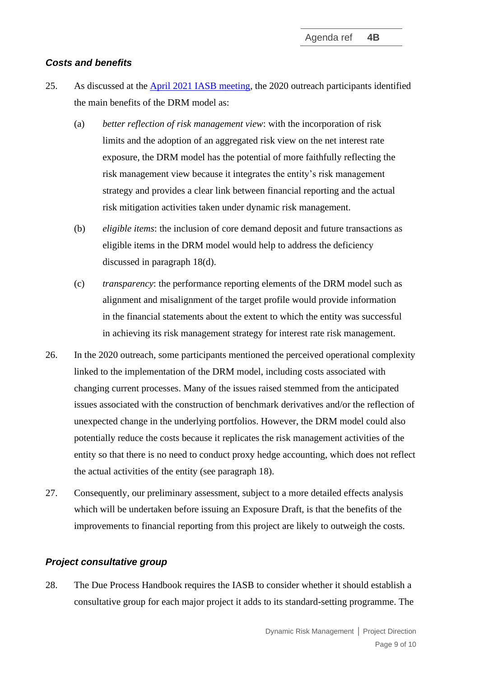#### <span id="page-8-0"></span>*Costs and benefits*

- 25. As discussed at the [April 2021 IASB meeting,](https://www.ifrs.org/content/dam/ifrs/meetings/2021/april/iasb/ap4a-dynamic-risk-management-executive-summary-of-feedback-from-outreach.pdf) the 2020 outreach participants identified the main benefits of the DRM model as:
	- (a) *better reflection of risk management view*: with the incorporation of risk limits and the adoption of an aggregated risk view on the net interest rate exposure, the DRM model has the potential of more faithfully reflecting the risk management view because it integrates the entity's risk management strategy and provides a clear link between financial reporting and the actual risk mitigation activities taken under dynamic risk management.
	- (b) *eligible items*: the inclusion of core demand deposit and future transactions as eligible items in the DRM model would help to address the deficiency discussed in paragraph [18\(d\).](#page-6-1)
	- (c) *transparency*: the performance reporting elements of the DRM model such as alignment and misalignment of the target profile would provide information in the financial statements about the extent to which the entity was successful in achieving its risk management strategy for interest rate risk management.
- 26. In the 2020 outreach, some participants mentioned the perceived operational complexity linked to the implementation of the DRM model, including costs associated with changing current processes. Many of the issues raised stemmed from the anticipated issues associated with the construction of benchmark derivatives and/or the reflection of unexpected change in the underlying portfolios. However, the DRM model could also potentially reduce the costs because it replicates the risk management activities of the entity so that there is no need to conduct proxy hedge accounting, which does not reflect the actual activities of the entity (see paragraph [18\)](#page-4-2).
- 27. Consequently, our preliminary assessment, subject to a more detailed effects analysis which will be undertaken before issuing an Exposure Draft, is that the benefits of the improvements to financial reporting from this project are likely to outweigh the costs.

#### <span id="page-8-1"></span>*Project consultative group*

28. The Due Process Handbook requires the IASB to consider whether it should establish a consultative group for each major project it adds to its standard-setting programme. The